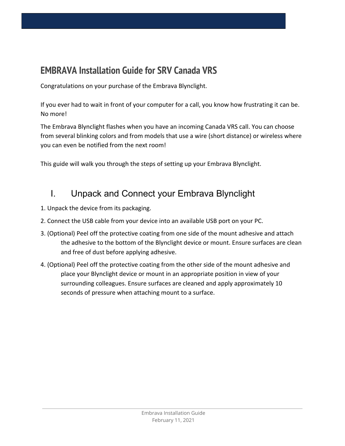# **EMBRAVA Installation Guide for SRV Canada VRS**

Congratulations on your purchase of the Embrava Blynclight.

If you ever had to wait in front of your computer for a call, you know how frustrating it can be. No more!

The Embrava Blynclight flashes when you have an incoming Canada VRS call. You can choose from several blinking colors and from models that use a wire (short distance) or wireless where you can even be notified from the next room!

This guide will walk you through the steps of setting up your Embrava Blynclight.

## I. Unpack and Connect your Embrava Blynclight

- 1. Unpack the device from its packaging.
- 2. Connect the USB cable from your device into an available USB port on your PC.
- 3. (Optional) Peel off the protective coating from one side of the mount adhesive and attach the adhesive to the bottom of the Blynclight device or mount. Ensure surfaces are clean and free of dust before applying adhesive.
- 4. (Optional) Peel off the protective coating from the other side of the mount adhesive and place your Blynclight device or mount in an appropriate position in view of your surrounding colleagues. Ensure surfaces are cleaned and apply approximately 10 seconds of pressure when attaching mount to a surface.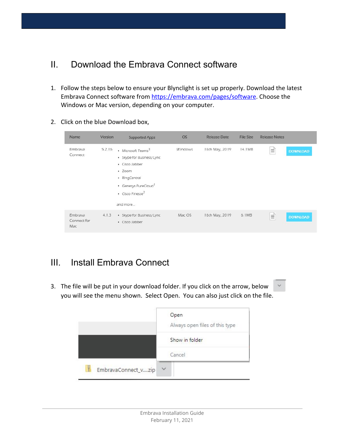# II. Download the Embrava Connect software

- 1. Follow the steps below to ensure your Blynclight is set up properly. Download the latest Embrava Connect software from <https://embrava.com/pages/software>. Choose the Windows or Mac version, depending on your computer.
- 2. Click on the blue Download box,

| Name                          | Version | <b>Supported Apps</b>                                                                                                                                                                    | OS      | <b>Release Date</b> | <b>File Size</b> | <b>Release Notes</b> |                 |
|-------------------------------|---------|------------------------------------------------------------------------------------------------------------------------------------------------------------------------------------------|---------|---------------------|------------------|----------------------|-----------------|
| Embrava<br>Connect            | 5.2.16  | • Microsoft Teams <sup>3</sup><br>· Skype for Business/Lync<br>· Cisco Jabber<br>· Zoom<br>· RingCentral<br>· Genesys PureCloud <sup>1</sup><br>· Cisco Finesse <sup>2</sup><br>and more | Windows | 16th May, 2019      | 14.1MB           | ≣                    | <b>DOWNLOAD</b> |
| Embrava<br>Connect for<br>Mac | 4.1.3   | · Skype for Business/Lync<br>· Cisco Jabber                                                                                                                                              | Mac OS  | 16th May, 2019      | 6.1MB            | ≣                    | <b>DOWNLOAD</b> |

## III. Install Embrava Connect

3. The file will be put in your download folder. If you click on the arrow, below you will see the menu shown. Select Open. You can also just click on the file.

|                     | Open<br>Always open files of this type<br>Show in folder |
|---------------------|----------------------------------------------------------|
| I.                  | Cancel                                                   |
| EmbravaConnect_vzip | $\checkmark$                                             |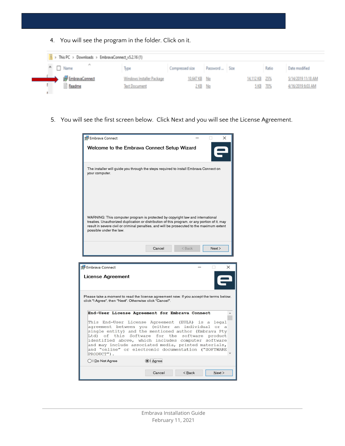4. You will see the program in the folder. Click on it.



5. You will see the first screen below. Click Next and you will see the License Agreement.

|                                                                                  | ×                                                                                                                                                                                                                                                                                                                                      |
|----------------------------------------------------------------------------------|----------------------------------------------------------------------------------------------------------------------------------------------------------------------------------------------------------------------------------------------------------------------------------------------------------------------------------------|
| Welcome to the Embrava Connect Setup Wizard                                      |                                                                                                                                                                                                                                                                                                                                        |
| your computer.                                                                   | The installer will guide you through the steps required to install Embrava Connect on                                                                                                                                                                                                                                                  |
| possible under the law.                                                          | WARNING: This computer program is protected by copyright law and international<br>treaties. Unauthorized duplication or distribution of this program, or any portion of it, may<br>result in severe civil or criminal penalties, and will be prosecuted to the maximum extent                                                          |
|                                                                                  | Cancel<br><back<br>Next</back<br>                                                                                                                                                                                                                                                                                                      |
| Embrava Connect                                                                  | $\times$<br>п                                                                                                                                                                                                                                                                                                                          |
|                                                                                  |                                                                                                                                                                                                                                                                                                                                        |
| <b>License Agreement</b>                                                         |                                                                                                                                                                                                                                                                                                                                        |
| click "I Agree", then "Next". Otherwise click "Cancel".                          | Please take a moment to read the license agreement now. If you accept the terms below,                                                                                                                                                                                                                                                 |
|                                                                                  | End-User License Agreement for Embrava Connect                                                                                                                                                                                                                                                                                         |
| agreement between you (either an<br>Software<br>Ltd)<br>of<br>this<br>PRODUCT"). | This End-User License Agreement (EULA) is a<br>leqal<br>individual or a<br>single entity) and the mentioned author (Embrava Pty<br>for<br>the software<br>product<br>identified above, which includes computer software<br>and may include associated media, printed materials,<br>and "online" or electronic documentation ("SOFTWARE |
| ◯ I Do Not Agree                                                                 | O   Agree                                                                                                                                                                                                                                                                                                                              |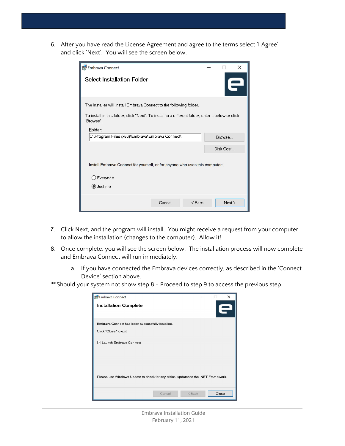6. After you have read the License Agreement and agree to the terms select 'I Agree' and click 'Next'. You will see the screen below.

| Embrava Connect                                                                                                 |           | X |
|-----------------------------------------------------------------------------------------------------------------|-----------|---|
| Select Installation Folder                                                                                      |           |   |
| The installer will install Embrava Connect to the following folder.                                             |           |   |
| To install in this folder, click "Next". To install to a different folder, enter it below or click<br>"Browse". |           |   |
| Folder:                                                                                                         |           |   |
| C:\Program Files (x86)\Embrava\Embrava Connect\                                                                 | Browse    |   |
|                                                                                                                 | Disk Cost |   |
| Install Embrava Connect for yourself, or for anyone who uses this computer:<br>Everyone<br>O Just me            |           |   |
| Cancel<br>$<$ Back                                                                                              | Next      |   |

- 7. Click Next, and the program will install. You might receive a request from your computer to allow the installation (changes to the computer). Allow it!
- 8. Once complete, you will see the screen below. The installation process will now complete and Embrava Connect will run immediately.
	- a. If you have connected the Embrava devices correctly, as described in the 'Connect Device' section above.

\*\*Should your system not show step 8 - Proceed to step 9 to access the previous step.

| Embrava Connect                                                                    |        |          | $\times$ |
|------------------------------------------------------------------------------------|--------|----------|----------|
| <b>Installation Complete</b>                                                       |        |          |          |
|                                                                                    |        |          |          |
| Embrava Connect has been successfully installed.                                   |        |          |          |
| Click "Close" to exit.                                                             |        |          |          |
| ◯ Launch Embrava Connect                                                           |        |          |          |
|                                                                                    |        |          |          |
|                                                                                    |        |          |          |
| Please use Windows Update to check for any critical updates to the .NET Framework. |        |          |          |
|                                                                                    |        |          |          |
|                                                                                    | Cancel | $<$ Back | Close    |

Embrava Installation Guide February 11, 2021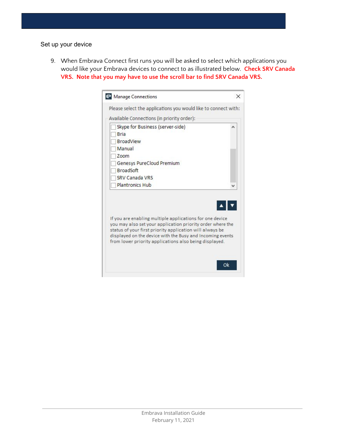Set up your device

9. When Embrava Connect first runs you will be asked to select which applications you would like your Embrava devices to connect to as illustrated below. **Check SRV Canada VRS. Note that you may have to use the scroll bar to find SRV Canada VRS.**

| Please select the applications you would like to connect with:                                                                                                                                                                                  |                           |
|-------------------------------------------------------------------------------------------------------------------------------------------------------------------------------------------------------------------------------------------------|---------------------------|
| Available Connections (in priority order):                                                                                                                                                                                                      |                           |
| Skype for Business (server-side)                                                                                                                                                                                                                |                           |
| <b>Bria</b>                                                                                                                                                                                                                                     |                           |
| <b>BroadView</b>                                                                                                                                                                                                                                |                           |
| Manual                                                                                                                                                                                                                                          |                           |
| Zoom                                                                                                                                                                                                                                            |                           |
| Genesys PureCloud Premium                                                                                                                                                                                                                       |                           |
| <b>BroadSoft</b>                                                                                                                                                                                                                                |                           |
| SRV Canada VRS                                                                                                                                                                                                                                  |                           |
| <b>Plantronics Hub</b>                                                                                                                                                                                                                          |                           |
| If you are enabling multiple applications for one device<br>you may also set your application priority order where the<br>status of your first priority application will always be<br>displayed on the device with the Busy and Incoming events | $\mathbf{A}$ $\mathbf{v}$ |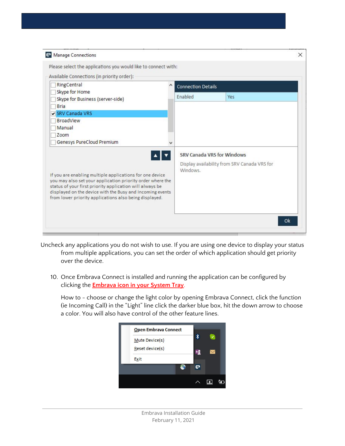| Please select the applications you would like to connect with:                                                                                                                                                                                                                                            |   |                           |                                                                                   |  |
|-----------------------------------------------------------------------------------------------------------------------------------------------------------------------------------------------------------------------------------------------------------------------------------------------------------|---|---------------------------|-----------------------------------------------------------------------------------|--|
| Available Connections (in priority order):                                                                                                                                                                                                                                                                |   |                           |                                                                                   |  |
| RingCentral<br>Skype for Home                                                                                                                                                                                                                                                                             | ۸ | <b>Connection Details</b> |                                                                                   |  |
| Skype for Business (server-side)<br><b>Bria</b>                                                                                                                                                                                                                                                           |   | Enabled                   | Yes                                                                               |  |
| SRV Canada VRS                                                                                                                                                                                                                                                                                            |   |                           |                                                                                   |  |
| <b>BroadView</b><br>Manual                                                                                                                                                                                                                                                                                |   |                           |                                                                                   |  |
| Zoom                                                                                                                                                                                                                                                                                                      |   |                           |                                                                                   |  |
| Genesys PureCloud Premium                                                                                                                                                                                                                                                                                 |   |                           |                                                                                   |  |
| If you are enabling multiple applications for one device<br>you may also set your application priority order where the<br>status of your first priority application will always be<br>displayed on the device with the Busy and Incoming events<br>from lower priority applications also being displayed. |   | Windows.                  | <b>SRV Canada VRS for Windows</b><br>Display availability from SRV Canada VRS for |  |

- Uncheck any applications you do not wish to use. If you are using one device to display your status from multiple applications, you can set the order of which application should get priority over the device.
	- 10. Once Embrava Connect is installed and running the application can be configured by clicking the **Embrava icon in your System Tray**.

How to - choose or change the light color by opening Embrava Connect, click the function (ie Incoming Call) in the "Light" line click the darker blue box, hit the down arrow to choose a color. You will also have control of the other feature lines.

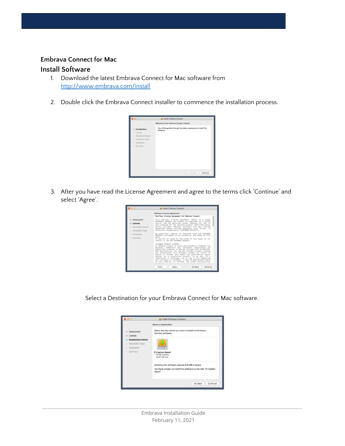#### **Embrava Connect for Mac Install Software**

- 1. Download the latest Embrava Connect for Mac software from <http://www.embrava.com/install>
- 2. Double click the Embrava Connect installer to commence the installation process.



3. After you have read the License Agreement and agree to the terms click 'Continue' and select 'Agree'.

| $-0$                    | Install Embrava Connect                                                                                                                                                                                                                                                                                                                                                                                                                                                                                                                                                                                            |
|-------------------------|--------------------------------------------------------------------------------------------------------------------------------------------------------------------------------------------------------------------------------------------------------------------------------------------------------------------------------------------------------------------------------------------------------------------------------------------------------------------------------------------------------------------------------------------------------------------------------------------------------------------|
|                         | Software License Agreement                                                                                                                                                                                                                                                                                                                                                                                                                                                                                                                                                                                         |
|                         | End-User License Agreement for Embrava Connect                                                                                                                                                                                                                                                                                                                                                                                                                                                                                                                                                                     |
| Introduction            | This End-User License Agreement (EULA) is a legal<br>agreement between you (either an individual or a single                                                                                                                                                                                                                                                                                                                                                                                                                                                                                                       |
| License                 | entity) and the mentioned author (Embrava Pty Ltd) of<br>this Software for the software product identified above,                                                                                                                                                                                                                                                                                                                                                                                                                                                                                                  |
| Destination Select      | which includes computer software and may include<br>associated media, printed materials, and "online" or                                                                                                                                                                                                                                                                                                                                                                                                                                                                                                           |
| Installation Type<br>e. | electronic documentation ("SOFTWARE PRODUCT").                                                                                                                                                                                                                                                                                                                                                                                                                                                                                                                                                                     |
| Installation<br>$\sim$  | By installing, copying, or otherwise using the SOFTWARE<br>PRODUCT, you agree to be bounded by the terms of this                                                                                                                                                                                                                                                                                                                                                                                                                                                                                                   |
| Summary<br>$\sim$       | RULA.<br>If you do not agree to the terms of this EULA, do not<br>install or use the SOFTWARE PRODUCT.                                                                                                                                                                                                                                                                                                                                                                                                                                                                                                             |
|                         | SOFTWARE PRODUCT LICENSE<br>a) Embrava Connect is being distributed as Freeware for<br>personal, commercial use, non-profit organization and<br>educational purpose. It may be included with CD-ROM/DVD-<br>ROM distributions. You are NOT allowed to make a charge<br>for distributing this Software (either for profit or<br>merely to recover your media and distribution costs)<br>whether as a stand-alone product, or as part of a<br>compilation or anthology, nor to use it for supporting<br>your business or customers. It may be distributed freely<br>on any website or through any other distribution |

Select a Destination for your Embrava Connect for Mac software.